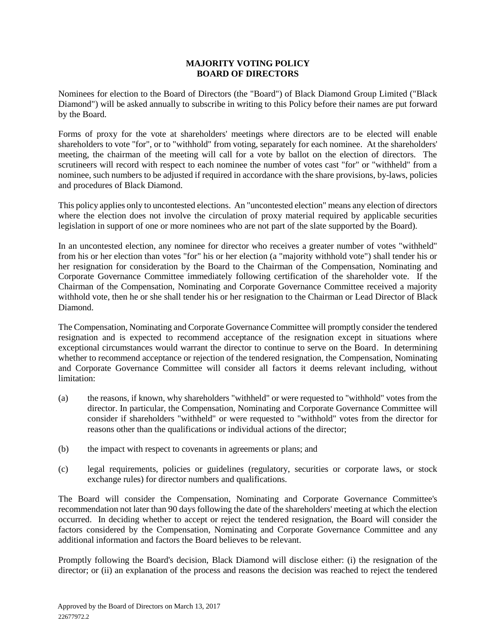## **MAJORITY VOTING POLICY BOARD OF DIRECTORS**

Nominees for election to the Board of Directors (the "Board") of Black Diamond Group Limited ("Black Diamond") will be asked annually to subscribe in writing to this Policy before their names are put forward by the Board.

Forms of proxy for the vote at shareholders' meetings where directors are to be elected will enable shareholders to vote "for", or to "withhold" from voting, separately for each nominee. At the shareholders' meeting, the chairman of the meeting will call for a vote by ballot on the election of directors. The scrutineers will record with respect to each nominee the number of votes cast "for" or "withheld" from a nominee, such numbers to be adjusted if required in accordance with the share provisions, by-laws, policies and procedures of Black Diamond.

This policy applies only to uncontested elections. An "uncontested election" means any election of directors where the election does not involve the circulation of proxy material required by applicable securities legislation in support of one or more nominees who are not part of the slate supported by the Board).

In an uncontested election, any nominee for director who receives a greater number of votes "withheld" from his or her election than votes "for" his or her election (a "majority withhold vote") shall tender his or her resignation for consideration by the Board to the Chairman of the Compensation, Nominating and Corporate Governance Committee immediately following certification of the shareholder vote. If the Chairman of the Compensation, Nominating and Corporate Governance Committee received a majority withhold vote, then he or she shall tender his or her resignation to the Chairman or Lead Director of Black Diamond.

The Compensation, Nominating and Corporate Governance Committee will promptly consider the tendered resignation and is expected to recommend acceptance of the resignation except in situations where exceptional circumstances would warrant the director to continue to serve on the Board. In determining whether to recommend acceptance or rejection of the tendered resignation, the Compensation, Nominating and Corporate Governance Committee will consider all factors it deems relevant including, without limitation:

- (a) the reasons, if known, why shareholders "withheld" or were requested to "withhold" votes from the director. In particular, the Compensation, Nominating and Corporate Governance Committee will consider if shareholders "withheld" or were requested to "withhold" votes from the director for reasons other than the qualifications or individual actions of the director;
- (b) the impact with respect to covenants in agreements or plans; and
- (c) legal requirements, policies or guidelines (regulatory, securities or corporate laws, or stock exchange rules) for director numbers and qualifications.

The Board will consider the Compensation, Nominating and Corporate Governance Committee's recommendation not later than 90 days following the date of the shareholders' meeting at which the election occurred. In deciding whether to accept or reject the tendered resignation, the Board will consider the factors considered by the Compensation, Nominating and Corporate Governance Committee and any additional information and factors the Board believes to be relevant.

Promptly following the Board's decision, Black Diamond will disclose either: (i) the resignation of the director; or (ii) an explanation of the process and reasons the decision was reached to reject the tendered